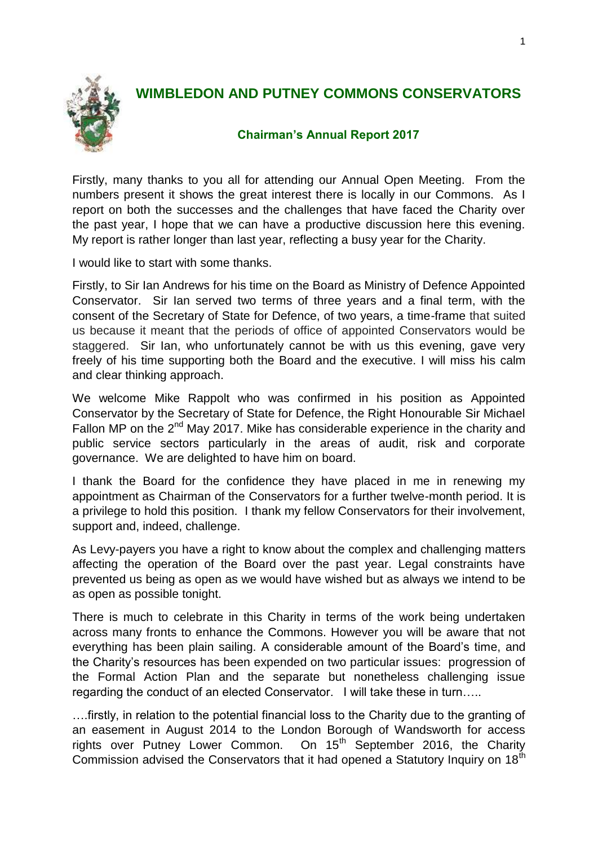

## **WIMBLEDON AND PUTNEY COMMONS CONSERVATORS**

## **Chairman's Annual Report 2017**

Firstly, many thanks to you all for attending our Annual Open Meeting. From the numbers present it shows the great interest there is locally in our Commons. As I report on both the successes and the challenges that have faced the Charity over the past year, I hope that we can have a productive discussion here this evening. My report is rather longer than last year, reflecting a busy year for the Charity.

I would like to start with some thanks.

Firstly, to Sir Ian Andrews for his time on the Board as Ministry of Defence Appointed Conservator. Sir Ian served two terms of three years and a final term, with the consent of the Secretary of State for Defence, of two years, a time-frame that suited us because it meant that the periods of office of appointed Conservators would be staggered. Sir Ian, who unfortunately cannot be with us this evening, gave very freely of his time supporting both the Board and the executive. I will miss his calm and clear thinking approach.

We welcome Mike Rappolt who was confirmed in his position as Appointed Conservator by the Secretary of State for Defence, the Right Honourable Sir Michael Fallon MP on the  $2^{nd}$  May 2017. Mike has considerable experience in the charity and public service sectors particularly in the areas of audit, risk and corporate governance. We are delighted to have him on board.

I thank the Board for the confidence they have placed in me in renewing my appointment as Chairman of the Conservators for a further twelve-month period. It is a privilege to hold this position. I thank my fellow Conservators for their involvement, support and, indeed, challenge.

As Levy-payers you have a right to know about the complex and challenging matters affecting the operation of the Board over the past year. Legal constraints have prevented us being as open as we would have wished but as always we intend to be as open as possible tonight.

There is much to celebrate in this Charity in terms of the work being undertaken across many fronts to enhance the Commons. However you will be aware that not everything has been plain sailing. A considerable amount of the Board's time, and the Charity's resources has been expended on two particular issues: progression of the Formal Action Plan and the separate but nonetheless challenging issue regarding the conduct of an elected Conservator. I will take these in turn…..

….firstly, in relation to the potential financial loss to the Charity due to the granting of an easement in August 2014 to the London Borough of Wandsworth for access rights over Putney Lower Common. On 15<sup>th</sup> September 2016, the Charity Commission advised the Conservators that it had opened a Statutory Inquiry on 18<sup>th</sup>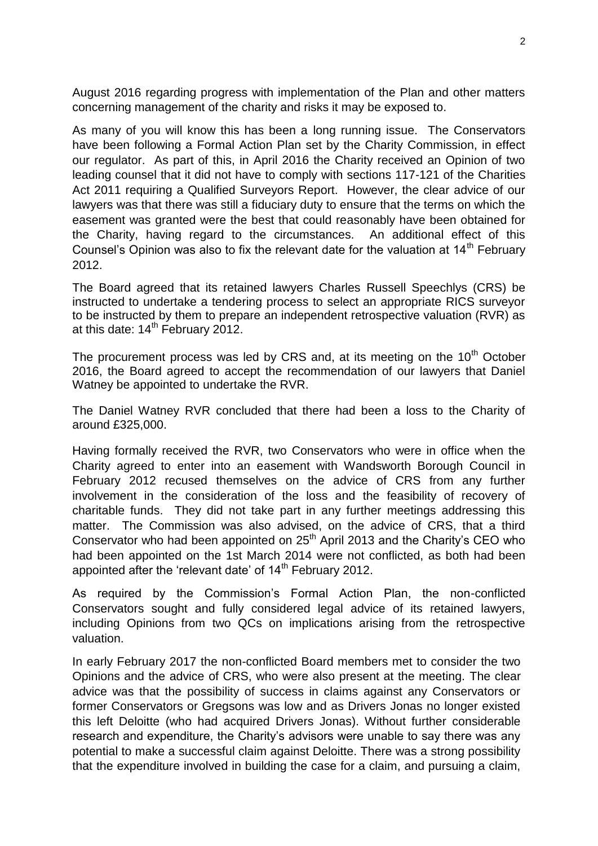August 2016 regarding progress with implementation of the Plan and other matters concerning management of the charity and risks it may be exposed to.

As many of you will know this has been a long running issue. The Conservators have been following a Formal Action Plan set by the Charity Commission, in effect our regulator. As part of this, in April 2016 the Charity received an Opinion of two leading counsel that it did not have to comply with sections 117-121 of the Charities Act 2011 requiring a Qualified Surveyors Report. However, the clear advice of our lawyers was that there was still a fiduciary duty to ensure that the terms on which the easement was granted were the best that could reasonably have been obtained for the Charity, having regard to the circumstances. An additional effect of this Counsel's Opinion was also to fix the relevant date for the valuation at 14<sup>th</sup> February 2012.

The Board agreed that its retained lawyers Charles Russell Speechlys (CRS) be instructed to undertake a tendering process to select an appropriate RICS surveyor to be instructed by them to prepare an independent retrospective valuation (RVR) as at this date:  $14^{th}$  February 2012.

The procurement process was led by CRS and, at its meeting on the  $10<sup>th</sup>$  October 2016, the Board agreed to accept the recommendation of our lawyers that Daniel Watney be appointed to undertake the RVR.

The Daniel Watney RVR concluded that there had been a loss to the Charity of around £325,000.

Having formally received the RVR, two Conservators who were in office when the Charity agreed to enter into an easement with Wandsworth Borough Council in February 2012 recused themselves on the advice of CRS from any further involvement in the consideration of the loss and the feasibility of recovery of charitable funds. They did not take part in any further meetings addressing this matter. The Commission was also advised, on the advice of CRS, that a third Conservator who had been appointed on 25<sup>th</sup> April 2013 and the Charity's CEO who had been appointed on the 1st March 2014 were not conflicted, as both had been appointed after the 'relevant date' of 14<sup>th</sup> February 2012.

As required by the Commission's Formal Action Plan, the non-conflicted Conservators sought and fully considered legal advice of its retained lawyers, including Opinions from two QCs on implications arising from the retrospective valuation.

In early February 2017 the non-conflicted Board members met to consider the two Opinions and the advice of CRS, who were also present at the meeting. The clear advice was that the possibility of success in claims against any Conservators or former Conservators or Gregsons was low and as Drivers Jonas no longer existed this left Deloitte (who had acquired Drivers Jonas). Without further considerable research and expenditure, the Charity's advisors were unable to say there was any potential to make a successful claim against Deloitte. There was a strong possibility that the expenditure involved in building the case for a claim, and pursuing a claim,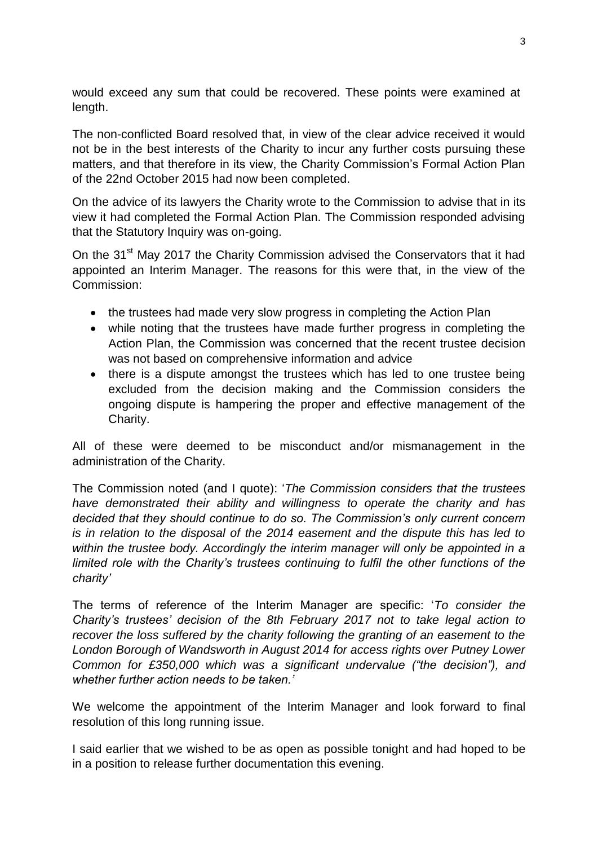would exceed any sum that could be recovered. These points were examined at length.

The non-conflicted Board resolved that, in view of the clear advice received it would not be in the best interests of the Charity to incur any further costs pursuing these matters, and that therefore in its view, the Charity Commission's Formal Action Plan of the 22nd October 2015 had now been completed.

On the advice of its lawyers the Charity wrote to the Commission to advise that in its view it had completed the Formal Action Plan. The Commission responded advising that the Statutory Inquiry was on-going.

On the 31<sup>st</sup> May 2017 the Charity Commission advised the Conservators that it had appointed an Interim Manager. The reasons for this were that, in the view of the Commission:

- the trustees had made very slow progress in completing the Action Plan
- while noting that the trustees have made further progress in completing the Action Plan, the Commission was concerned that the recent trustee decision was not based on comprehensive information and advice
- there is a dispute amongst the trustees which has led to one trustee being excluded from the decision making and the Commission considers the ongoing dispute is hampering the proper and effective management of the Charity.

All of these were deemed to be misconduct and/or mismanagement in the administration of the Charity.

The Commission noted (and I quote): '*The Commission considers that the trustees have demonstrated their ability and willingness to operate the charity and has decided that they should continue to do so. The Commission's only current concern is in relation to the disposal of the 2014 easement and the dispute this has led to within the trustee body. Accordingly the interim manager will only be appointed in a limited role with the Charity's trustees continuing to fulfil the other functions of the charity'* 

The terms of reference of the Interim Manager are specific: '*To consider the Charity's trustees' decision of the 8th February 2017 not to take legal action to recover the loss suffered by the charity following the granting of an easement to the London Borough of Wandsworth in August 2014 for access rights over Putney Lower Common for £350,000 which was a significant undervalue ("the decision"), and whether further action needs to be taken.'*

We welcome the appointment of the Interim Manager and look forward to final resolution of this long running issue.

I said earlier that we wished to be as open as possible tonight and had hoped to be in a position to release further documentation this evening.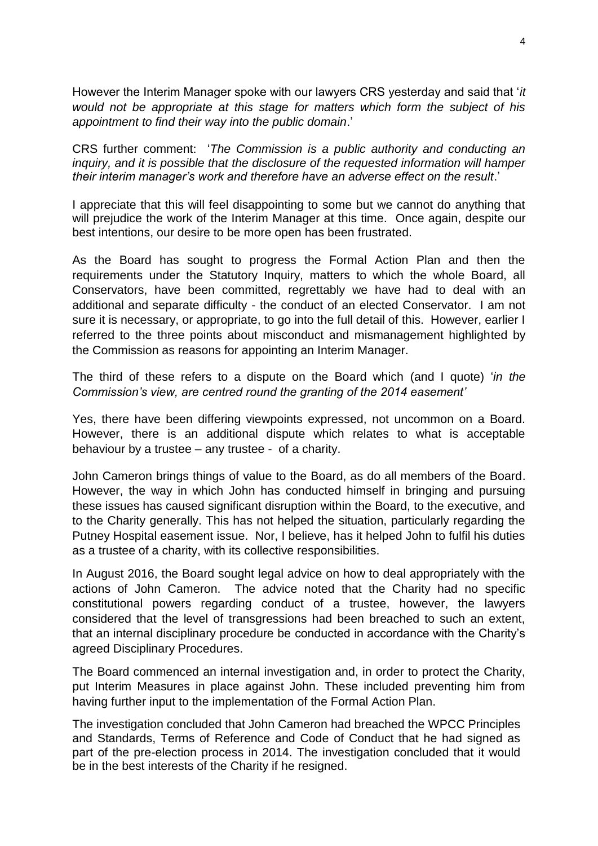However the Interim Manager spoke with our lawyers CRS yesterday and said that '*it would not be appropriate at this stage for matters which form the subject of his appointment to find their way into the public domain*.'

CRS further comment: '*The Commission is a public authority and conducting an inquiry, and it is possible that the disclosure of the requested information will hamper their interim manager's work and therefore have an adverse effect on the result*.'

I appreciate that this will feel disappointing to some but we cannot do anything that will prejudice the work of the Interim Manager at this time. Once again, despite our best intentions, our desire to be more open has been frustrated.

As the Board has sought to progress the Formal Action Plan and then the requirements under the Statutory Inquiry, matters to which the whole Board, all Conservators, have been committed, regrettably we have had to deal with an additional and separate difficulty - the conduct of an elected Conservator. I am not sure it is necessary, or appropriate, to go into the full detail of this. However, earlier I referred to the three points about misconduct and mismanagement highlighted by the Commission as reasons for appointing an Interim Manager.

The third of these refers to a dispute on the Board which (and I quote) '*in the Commission's view, are centred round the granting of the 2014 easement'* 

Yes, there have been differing viewpoints expressed, not uncommon on a Board. However, there is an additional dispute which relates to what is acceptable behaviour by a trustee – any trustee - of a charity.

John Cameron brings things of value to the Board, as do all members of the Board. However, the way in which John has conducted himself in bringing and pursuing these issues has caused significant disruption within the Board, to the executive, and to the Charity generally. This has not helped the situation, particularly regarding the Putney Hospital easement issue. Nor, I believe, has it helped John to fulfil his duties as a trustee of a charity, with its collective responsibilities.

In August 2016, the Board sought legal advice on how to deal appropriately with the actions of John Cameron. The advice noted that the Charity had no specific constitutional powers regarding conduct of a trustee, however, the lawyers considered that the level of transgressions had been breached to such an extent, that an internal disciplinary procedure be conducted in accordance with the Charity's agreed Disciplinary Procedures.

The Board commenced an internal investigation and, in order to protect the Charity, put Interim Measures in place against John. These included preventing him from having further input to the implementation of the Formal Action Plan.

The investigation concluded that John Cameron had breached the WPCC Principles and Standards, Terms of Reference and Code of Conduct that he had signed as part of the pre-election process in 2014. The investigation concluded that it would be in the best interests of the Charity if he resigned.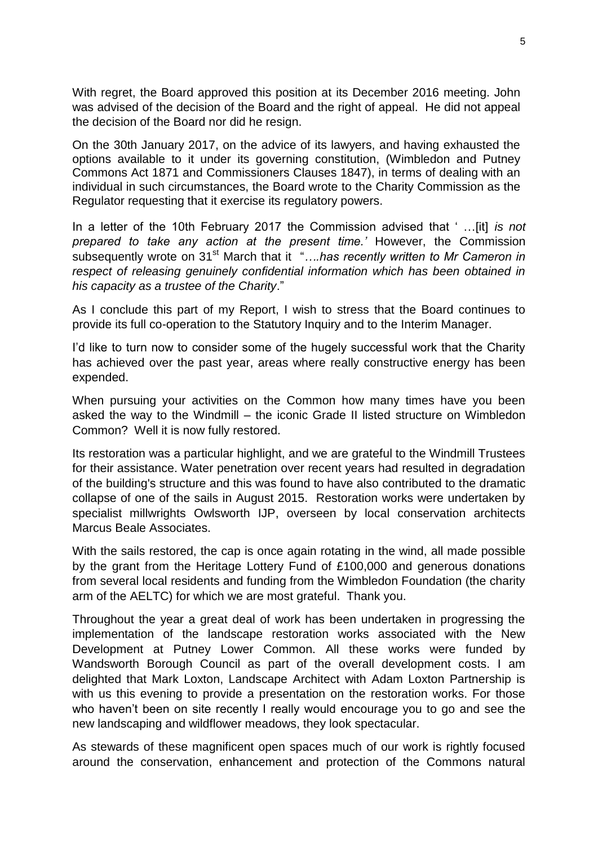With regret, the Board approved this position at its December 2016 meeting. John was advised of the decision of the Board and the right of appeal. He did not appeal the decision of the Board nor did he resign.

On the 30th January 2017, on the advice of its lawyers, and having exhausted the options available to it under its governing constitution, (Wimbledon and Putney Commons Act 1871 and Commissioners Clauses 1847), in terms of dealing with an individual in such circumstances, the Board wrote to the Charity Commission as the Regulator requesting that it exercise its regulatory powers.

In a letter of the 10th February 2017 the Commission advised that ' …[it] *is not prepared to take any action at the present time.'* However, the Commission subsequently wrote on 31st March that it"*….has recently written to Mr Cameron in respect of releasing genuinely confidential information which has been obtained in his capacity as a trustee of the Charity*."

As I conclude this part of my Report, I wish to stress that the Board continues to provide its full co-operation to the Statutory Inquiry and to the Interim Manager.

I'd like to turn now to consider some of the hugely successful work that the Charity has achieved over the past year, areas where really constructive energy has been expended.

When pursuing your activities on the Common how many times have you been asked the way to the Windmill – the iconic Grade II listed structure on Wimbledon Common? Well it is now fully restored.

Its restoration was a particular highlight, and we are grateful to the Windmill Trustees for their assistance. Water penetration over recent years had resulted in degradation of the building's structure and this was found to have also contributed to the dramatic collapse of one of the sails in August 2015. Restoration works were undertaken by specialist millwrights Owlsworth IJP, overseen by local conservation architects Marcus Beale Associates.

With the sails restored, the cap is once again rotating in the wind, all made possible by the grant from the Heritage Lottery Fund of £100,000 and generous donations from several local residents and funding from the Wimbledon Foundation (the charity arm of the AELTC) for which we are most grateful. Thank you.

Throughout the year a great deal of work has been undertaken in progressing the implementation of the landscape restoration works associated with the New Development at Putney Lower Common. All these works were funded by Wandsworth Borough Council as part of the overall development costs. I am delighted that Mark Loxton, Landscape Architect with Adam Loxton Partnership is with us this evening to provide a presentation on the restoration works. For those who haven't been on site recently I really would encourage you to go and see the new landscaping and wildflower meadows, they look spectacular.

As stewards of these magnificent open spaces much of our work is rightly focused around the conservation, enhancement and protection of the Commons natural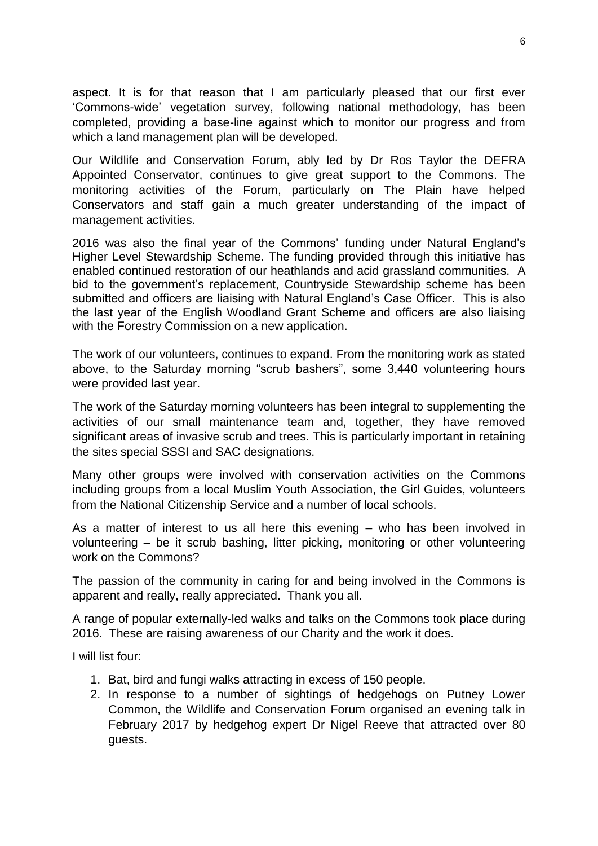aspect. It is for that reason that I am particularly pleased that our first ever 'Commons-wide' vegetation survey, following national methodology, has been completed, providing a base-line against which to monitor our progress and from which a land management plan will be developed.

Our Wildlife and Conservation Forum, ably led by Dr Ros Taylor the DEFRA Appointed Conservator, continues to give great support to the Commons. The monitoring activities of the Forum, particularly on The Plain have helped Conservators and staff gain a much greater understanding of the impact of management activities.

2016 was also the final year of the Commons' funding under Natural England's Higher Level Stewardship Scheme. The funding provided through this initiative has enabled continued restoration of our heathlands and acid grassland communities. A bid to the government's replacement, Countryside Stewardship scheme has been submitted and officers are liaising with Natural England's Case Officer. This is also the last year of the English Woodland Grant Scheme and officers are also liaising with the Forestry Commission on a new application.

The work of our volunteers, continues to expand. From the monitoring work as stated above, to the Saturday morning "scrub bashers", some 3,440 volunteering hours were provided last year.

The work of the Saturday morning volunteers has been integral to supplementing the activities of our small maintenance team and, together, they have removed significant areas of invasive scrub and trees. This is particularly important in retaining the sites special SSSI and SAC designations.

Many other groups were involved with conservation activities on the Commons including groups from a local Muslim Youth Association, the Girl Guides, volunteers from the National Citizenship Service and a number of local schools.

As a matter of interest to us all here this evening – who has been involved in volunteering – be it scrub bashing, litter picking, monitoring or other volunteering work on the Commons?

The passion of the community in caring for and being involved in the Commons is apparent and really, really appreciated. Thank you all.

A range of popular externally-led walks and talks on the Commons took place during 2016. These are raising awareness of our Charity and the work it does.

I will list four:

- 1. Bat, bird and fungi walks attracting in excess of 150 people.
- 2. In response to a number of sightings of hedgehogs on Putney Lower Common, the Wildlife and Conservation Forum organised an evening talk in February 2017 by hedgehog expert Dr Nigel Reeve that attracted over 80 guests.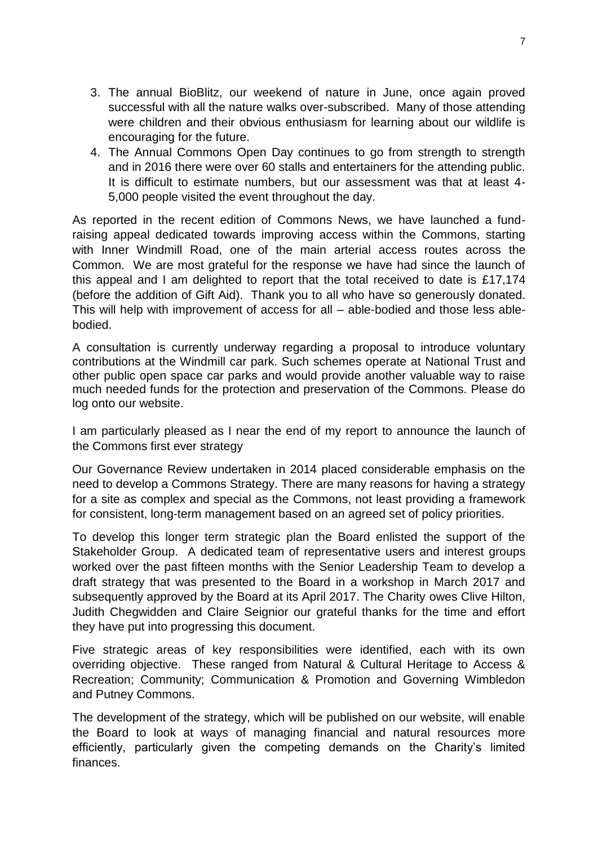- 3. The annual BioBlitz, our weekend of nature in June, once again proved successful with all the nature walks over-subscribed. Many of those attending were children and their obvious enthusiasm for learning about our wildlife is encouraging for the future.
- 4. The Annual Commons Open Day continues to go from strength to strength and in 2016 there were over 60 stalls and entertainers for the attending public. It is difficult to estimate numbers, but our assessment was that at least 4- 5,000 people visited the event throughout the day.

As reported in the recent edition of Commons News, we have launched a fundraising appeal dedicated towards improving access within the Commons, starting with Inner Windmill Road, one of the main arterial access routes across the Common. We are most grateful for the response we have had since the launch of this appeal and I am delighted to report that the total received to date is £17,174 (before the addition of Gift Aid). Thank you to all who have so generously donated. This will help with improvement of access for all – able-bodied and those less ablebodied.

A consultation is currently underway regarding a proposal to introduce voluntary contributions at the Windmill car park. Such schemes operate at National Trust and other public open space car parks and would provide another valuable way to raise much needed funds for the protection and preservation of the Commons. Please do log onto our website.

I am particularly pleased as I near the end of my report to announce the launch of the Commons first ever strategy

Our Governance Review undertaken in 2014 placed considerable emphasis on the need to develop a Commons Strategy. There are many reasons for having a strategy for a site as complex and special as the Commons, not least providing a framework for consistent, long-term management based on an agreed set of policy priorities.

To develop this longer term strategic plan the Board enlisted the support of the Stakeholder Group. A dedicated team of representative users and interest groups worked over the past fifteen months with the Senior Leadership Team to develop a draft strategy that was presented to the Board in a workshop in March 2017 and subsequently approved by the Board at its April 2017. The Charity owes Clive Hilton, Judith Chegwidden and Claire Seignior our grateful thanks for the time and effort they have put into progressing this document.

Five strategic areas of key responsibilities were identified, each with its own overriding objective. These ranged from Natural & Cultural Heritage to Access & Recreation; Community; Communication & Promotion and Governing Wimbledon and Putney Commons.

The development of the strategy, which will be published on our website, will enable the Board to look at ways of managing financial and natural resources more efficiently, particularly given the competing demands on the Charity's limited finances.